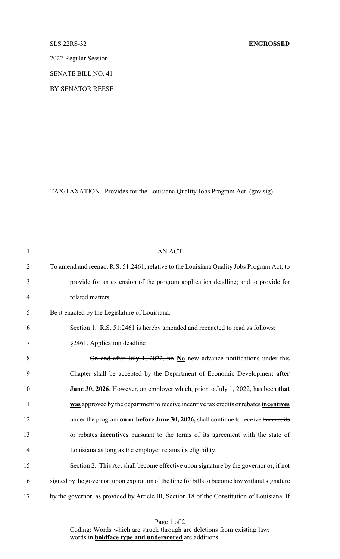2022 Regular Session

SENATE BILL NO. 41

BY SENATOR REESE

TAX/TAXATION. Provides for the Louisiana Quality Jobs Program Act. (gov sig)

| $\mathbf{1}$   | <b>AN ACT</b>                                                                                 |
|----------------|-----------------------------------------------------------------------------------------------|
| $\overline{2}$ | To amend and reenact R.S. 51:2461, relative to the Louisiana Quality Jobs Program Act; to     |
| 3              | provide for an extension of the program application deadline; and to provide for              |
| $\overline{4}$ | related matters.                                                                              |
| 5              | Be it enacted by the Legislature of Louisiana:                                                |
| 6              | Section 1. R.S. 51:2461 is hereby amended and reenacted to read as follows:                   |
| $\tau$         | §2461. Application deadline                                                                   |
| 8              | On and after July 1, 2022, no $N_0$ new advance notifications under this                      |
| 9              | Chapter shall be accepted by the Department of Economic Development after                     |
| 10             | June 30, 2026. However, an employer which, prior to July 1, 2022, has been that               |
| 11             | was approved by the department to receive incentive tax credits or rebates incentives         |
| 12             | under the program on or before June 30, 2026, shall continue to receive tax credits           |
| 13             | or rebates incentives pursuant to the terms of its agreement with the state of                |
| 14             | Louisiana as long as the employer retains its eligibility.                                    |
| 15             | Section 2. This Act shall become effective upon signature by the governor or, if not          |
| 16             | signed by the governor, upon expiration of the time for bills to become law without signature |
| 17             | by the governor, as provided by Article III, Section 18 of the Constitution of Louisiana. If  |

Page 1 of 2 Coding: Words which are struck through are deletions from existing law; words in **boldface type and underscored** are additions.